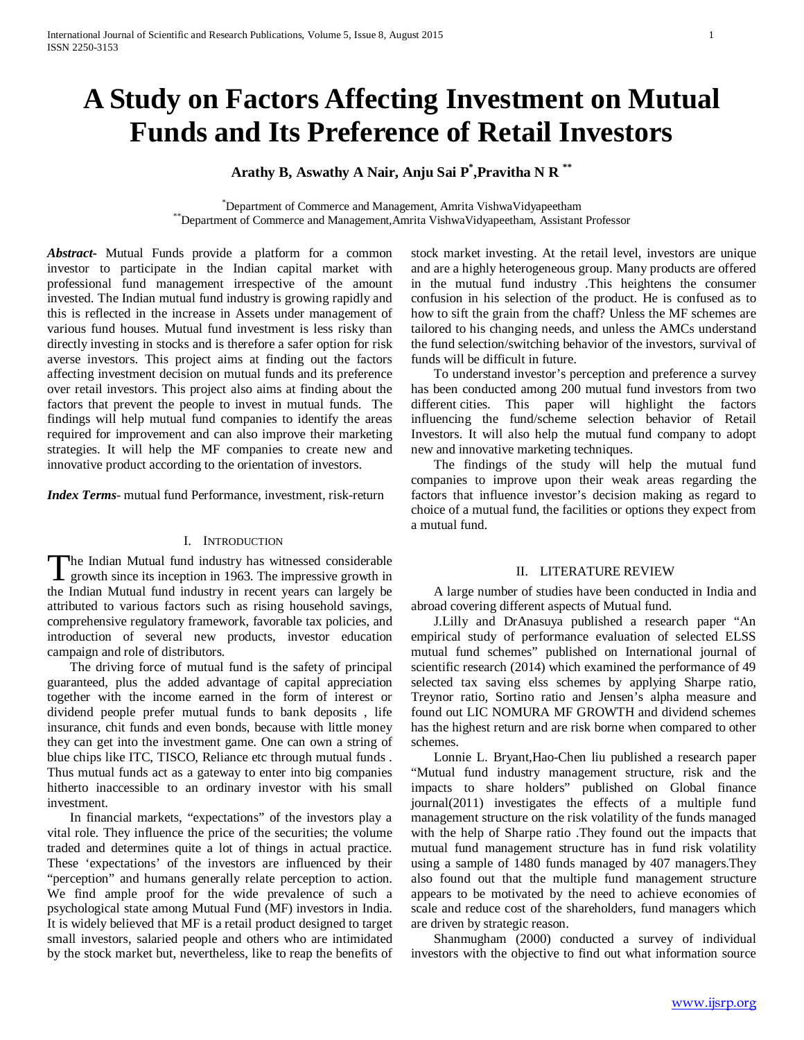# **A Study on Factors Affecting Investment on Mutual Funds and Its Preference of Retail Investors**

**Arathy B, Aswathy A Nair, Anju Sai P\* ,Pravitha N R \*\***

\*Department of Commerce and Management, Amrita Vishwa Vidyapeetham \*\*Department of Commerce and Management,Amrita VishwaVidyapeetham, Assistant Professor

*Abstract***-** Mutual Funds provide a platform for a common investor to participate in the Indian capital market with professional fund management irrespective of the amount invested. The Indian mutual fund industry is growing rapidly and this is reflected in the increase in Assets under management of various fund houses. Mutual fund investment is less risky than directly investing in stocks and is therefore a safer option for risk averse investors. This project aims at finding out the factors affecting investment decision on mutual funds and its preference over retail investors. This project also aims at finding about the factors that prevent the people to invest in mutual funds. The findings will help mutual fund companies to identify the areas required for improvement and can also improve their marketing strategies. It will help the MF companies to create new and innovative product according to the orientation of investors.

*Index Terms*- mutual fund Performance, investment, risk-return

#### I. INTRODUCTION

The Indian Mutual fund industry has witnessed considerable The Indian Mutual fund industry has witnessed considerable<br>growth since its inception in 1963. The impressive growth in the Indian Mutual fund industry in recent years can largely be attributed to various factors such as rising household savings, comprehensive regulatory framework, favorable tax policies, and introduction of several new products, investor education campaign and role of distributors.

 The driving force of mutual fund is the safety of principal guaranteed, plus the added advantage of capital appreciation together with the income earned in the form of interest or dividend people prefer mutual funds to bank deposits , life insurance, chit funds and even bonds, because with little money they can get into the investment game. One can own a string of blue chips like ITC, TISCO, Reliance etc through mutual funds . Thus mutual funds act as a gateway to enter into big companies hitherto inaccessible to an ordinary investor with his small investment.

 In financial markets, "expectations" of the investors play a vital role. They influence the price of the securities; the volume traded and determines quite a lot of things in actual practice. These 'expectations' of the investors are influenced by their "perception" and humans generally relate perception to action. We find ample proof for the wide prevalence of such a psychological state among Mutual Fund (MF) investors in India. It is widely believed that MF is a retail product designed to target small investors, salaried people and others who are intimidated by the stock market but, nevertheless, like to reap the benefits of stock market investing. At the retail level, investors are unique and are a highly heterogeneous group. Many products are offered in the mutual fund industry .This heightens the consumer confusion in his selection of the product. He is confused as to how to sift the grain from the chaff? Unless the MF schemes are tailored to his changing needs, and unless the AMCs understand the fund selection/switching behavior of the investors, survival of funds will be difficult in future.

 To understand investor's perception and preference a survey has been conducted among 200 mutual fund investors from two different cities. This paper will highlight the factors influencing the fund/scheme selection behavior of Retail Investors. It will also help the mutual fund company to adopt new and innovative marketing techniques.

 The findings of the study will help the mutual fund companies to improve upon their weak areas regarding the factors that influence investor's decision making as regard to choice of a mutual fund, the facilities or options they expect from a mutual fund.

#### II. LITERATURE REVIEW

 A large number of studies have been conducted in India and abroad covering different aspects of Mutual fund.

 J.Lilly and DrAnasuya published a research paper "An empirical study of performance evaluation of selected ELSS mutual fund schemes" published on International journal of scientific research (2014) which examined the performance of 49 selected tax saving elss schemes by applying Sharpe ratio, Treynor ratio, Sortino ratio and Jensen's alpha measure and found out LIC NOMURA MF GROWTH and dividend schemes has the highest return and are risk borne when compared to other schemes.

 Lonnie L. Bryant,Hao-Chen liu published a research paper "Mutual fund industry management structure, risk and the impacts to share holders" published on Global finance journal(2011) investigates the effects of a multiple fund management structure on the risk volatility of the funds managed with the help of Sharpe ratio .They found out the impacts that mutual fund management structure has in fund risk volatility using a sample of 1480 funds managed by 407 managers.They also found out that the multiple fund management structure appears to be motivated by the need to achieve economies of scale and reduce cost of the shareholders, fund managers which are driven by strategic reason.

 Shanmugham (2000) conducted a survey of individual investors with the objective to find out what information source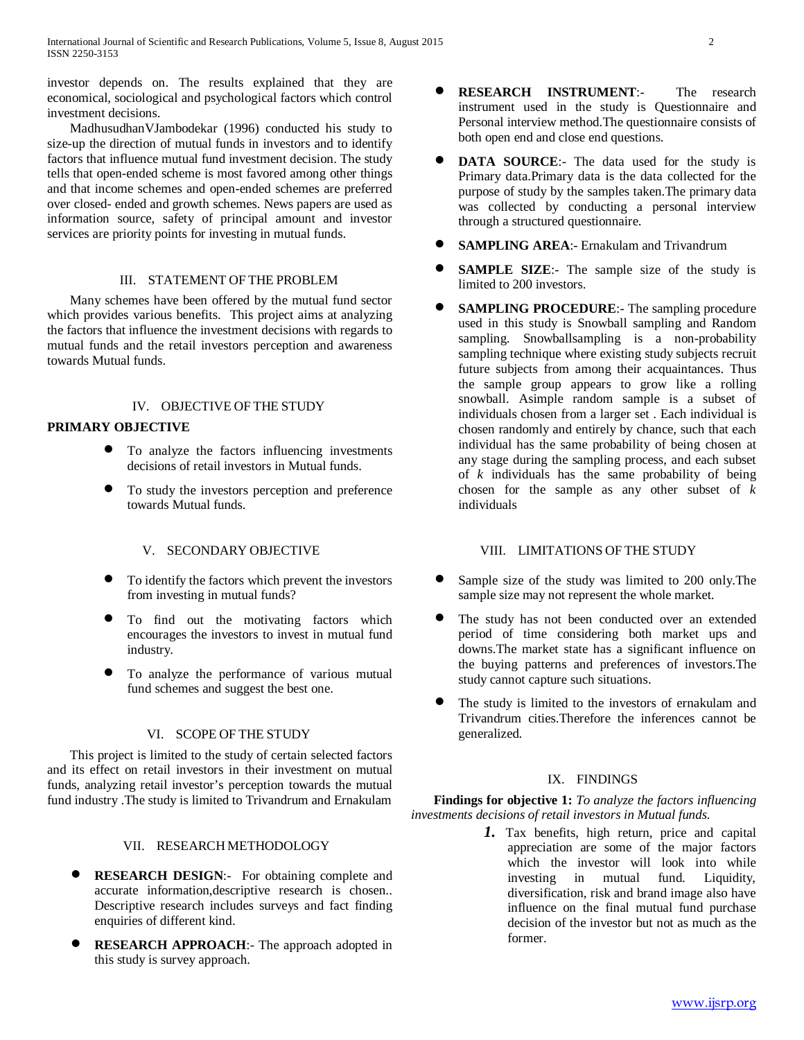investor depends on. The results explained that they are economical, sociological and psychological factors which control investment decisions.

 MadhusudhanVJambodekar (1996) conducted his study to size-up the direction of mutual funds in investors and to identify factors that influence mutual fund investment decision. The study tells that open-ended scheme is most favored among other things and that income schemes and open-ended schemes are preferred over closed- ended and growth schemes. News papers are used as information source, safety of principal amount and investor services are priority points for investing in mutual funds.

## III. STATEMENT OF THE PROBLEM

 Many schemes have been offered by the mutual fund sector which provides various benefits. This project aims at analyzing the factors that influence the investment decisions with regards to mutual funds and the retail investors perception and awareness towards Mutual funds.

## IV. OBJECTIVE OF THE STUDY

### **PRIMARY OBJECTIVE**

- To analyze the factors influencing investments decisions of retail investors in Mutual funds.
- To study the investors perception and preference towards Mutual funds.

#### V. SECONDARY OBJECTIVE

- To identify the factors which prevent the investors from investing in mutual funds?
- To find out the motivating factors which encourages the investors to invest in mutual fund industry.
- To analyze the performance of various mutual fund schemes and suggest the best one.

#### VI. SCOPE OF THE STUDY

 This project is limited to the study of certain selected factors and its effect on retail investors in their investment on mutual funds, analyzing retail investor's perception towards the mutual fund industry .The study is limited to Trivandrum and Ernakulam

## VII. RESEARCH METHODOLOGY

- **RESEARCH DESIGN:-** For obtaining complete and accurate information,descriptive research is chosen.. Descriptive research includes surveys and fact finding enquiries of different kind.
- **RESEARCH APPROACH**:- The approach adopted in this study is survey approach.
- **RESEARCH INSTRUMENT**:- The research instrument used in the study is Questionnaire and Personal interview method.The questionnaire consists of both open end and close end questions.
- **DATA SOURCE:** The data used for the study is Primary data.Primary data is the data collected for the purpose of study by the samples taken.The primary data was collected by conducting a personal interview through a structured questionnaire.
- **SAMPLING AREA**:- Ernakulam and Trivandrum
- **SAMPLE SIZE:** The sample size of the study is limited to 200 investors.
- **SAMPLING PROCEDURE:** The sampling procedure used in this study is Snowball sampling and Random sampling. Snowballsampling is a non-probability sampling technique where existing study subjects recruit future subjects from among their acquaintances. Thus the sample group appears to grow like a rolling snowball. Asimple random sample is a subset of individuals chosen from a larger set . Each individual is chosen randomly and entirely by chance, such that each individual has the same probability of being chosen at any stage during the sampling process, and each subset of *k* individuals has the same probability of being chosen for the sample as any other subset of *k* individuals

#### VIII. LIMITATIONS OF THE STUDY

- Sample size of the study was limited to 200 only. The sample size may not represent the whole market.
- The study has not been conducted over an extended period of time considering both market ups and downs.The market state has a significant influence on the buying patterns and preferences of investors.The study cannot capture such situations.
- The study is limited to the investors of ernakulam and Trivandrum cities.Therefore the inferences cannot be generalized.

#### IX. FINDINGS

 **Findings for objective 1:** *To analyze the factors influencing investments decisions of retail investors in Mutual funds.*

> *1.* Tax benefits, high return, price and capital appreciation are some of the major factors which the investor will look into while investing in mutual fund. Liquidity, diversification, risk and brand image also have influence on the final mutual fund purchase decision of the investor but not as much as the former.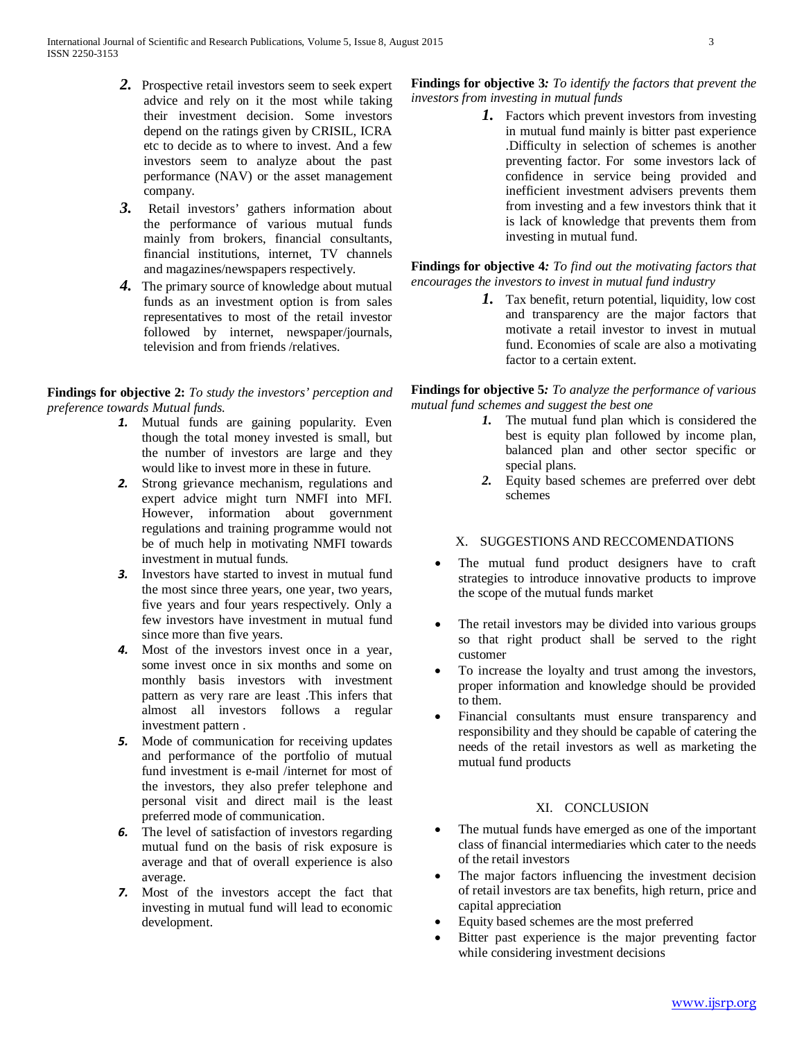- *2.* Prospective retail investors seem to seek expert advice and rely on it the most while taking their investment decision. Some investors depend on the ratings given by CRISIL, ICRA etc to decide as to where to invest. And a few investors seem to analyze about the past performance (NAV) or the asset management company.
- *3.* Retail investors' gathers information about the performance of various mutual funds mainly from brokers, financial consultants, financial institutions, internet, TV channels and magazines/newspapers respectively.
- *4.* The primary source of knowledge about mutual funds as an investment option is from sales representatives to most of the retail investor followed by internet, newspaper/journals, television and from friends /relatives.

**Findings for objective 2:** *To study the investors' perception and preference towards Mutual funds.*

- *1.* Mutual funds are gaining popularity. Even though the total money invested is small, but the number of investors are large and they would like to invest more in these in future.
- *2.* Strong grievance mechanism, regulations and expert advice might turn NMFI into MFI. However, information about government regulations and training programme would not be of much help in motivating NMFI towards investment in mutual funds.
- *3.* Investors have started to invest in mutual fund the most since three years, one year, two years, five years and four years respectively. Only a few investors have investment in mutual fund since more than five years.
- *4.* Most of the investors invest once in a year, some invest once in six months and some on monthly basis investors with investment pattern as very rare are least .This infers that almost all investors follows a regular investment pattern .
- *5.* Mode of communication for receiving updates and performance of the portfolio of mutual fund investment is e-mail /internet for most of the investors, they also prefer telephone and personal visit and direct mail is the least preferred mode of communication.
- *6.* The level of satisfaction of investors regarding mutual fund on the basis of risk exposure is average and that of overall experience is also average.
- *7.* Most of the investors accept the fact that investing in mutual fund will lead to economic development.

**Findings for objective 3***: To identify the factors that prevent the investors from investing in mutual funds*

> *1.* Factors which prevent investors from investing in mutual fund mainly is bitter past experience .Difficulty in selection of schemes is another preventing factor. For some investors lack of confidence in service being provided and inefficient investment advisers prevents them from investing and a few investors think that it is lack of knowledge that prevents them from investing in mutual fund.

**Findings for objective 4***: To find out the motivating factors that encourages the investors to invest in mutual fund industry*

> *1.* Tax benefit, return potential, liquidity, low cost and transparency are the major factors that motivate a retail investor to invest in mutual fund. Economies of scale are also a motivating factor to a certain extent.

**Findings for objective 5***: To analyze the performance of various mutual fund schemes and suggest the best one*

- *1.* The mutual fund plan which is considered the best is equity plan followed by income plan, balanced plan and other sector specific or special plans.
- *2.* Equity based schemes are preferred over debt schemes

## X. SUGGESTIONS AND RECCOMENDATIONS

- The mutual fund product designers have to craft strategies to introduce innovative products to improve the scope of the mutual funds market
- The retail investors may be divided into various groups so that right product shall be served to the right customer
- To increase the loyalty and trust among the investors, proper information and knowledge should be provided to them.
- Financial consultants must ensure transparency and responsibility and they should be capable of catering the needs of the retail investors as well as marketing the mutual fund products

## XI. CONCLUSION

- The mutual funds have emerged as one of the important class of financial intermediaries which cater to the needs of the retail investors
- The major factors influencing the investment decision of retail investors are tax benefits, high return, price and capital appreciation
- Equity based schemes are the most preferred
- Bitter past experience is the major preventing factor while considering investment decisions